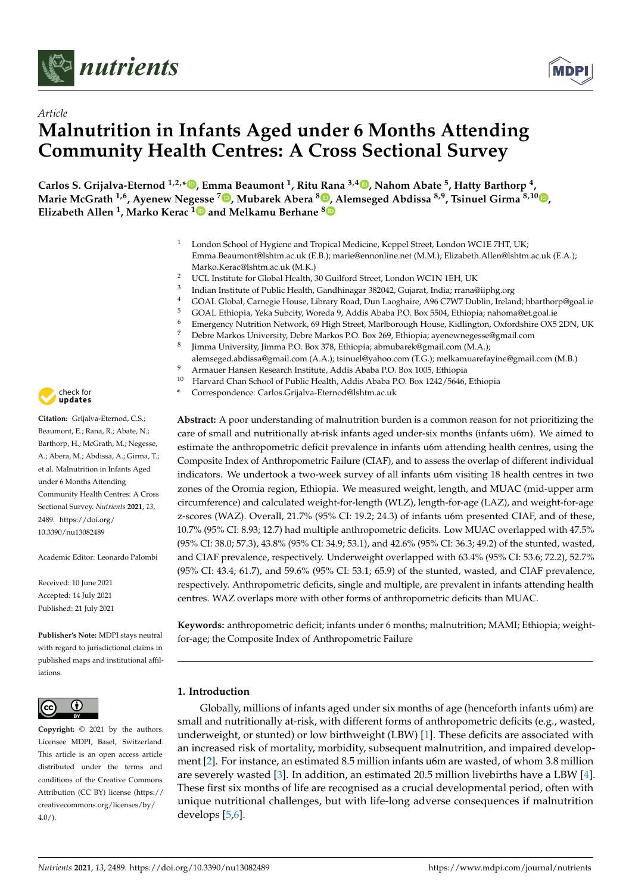



# *Article* **Malnutrition in Infants Aged under 6 Months Attending Community Health Centres: A Cross Sectional Survey**

**Carlos S. Grijalva-Eternod 1,2,[\\*](https://orcid.org/0000-0002-2461-9954) , Emma Beaumont <sup>1</sup> , Ritu Rana 3,4 [,](https://orcid.org/0000-0001-6071-1750) Nahom Abate <sup>5</sup> , Hatty Barthorp <sup>4</sup> , Marie McGrath 1,6, Ayenew Negesse <sup>7</sup> [,](https://orcid.org/0000-0002-0131-0700) Mubarek Abera <sup>8</sup> [,](https://orcid.org/0000-0003-2592-1327) Alemseged Abdissa 8,9, Tsinuel Girma 8,10 [,](https://orcid.org/0000-0002-3538-0061) Elizabeth Allen <sup>1</sup> , Marko Kerac [1](https://orcid.org/0000-0002-3745-7317) and Melkamu Berhane [8](https://orcid.org/0000-0003-1517-6220)**

- London School of Hygiene and Tropical Medicine, Keppel Street, London WC1E 7HT, UK; Emma.Beaumont@lshtm.ac.uk (E.B.); marie@ennonline.net (M.M.); Elizabeth.Allen@lshtm.ac.uk (E.A.); Marko.Kerac@lshtm.ac.uk (M.K.)
- <sup>2</sup> UCL Institute for Global Health, 30 Guilford Street, London WC1N 1EH, UK
- 3 Indian Institute of Public Health, Gandhinagar 382042, Gujarat, India; rrana@iiphg.org
- <sup>4</sup> GOAL Global, Carnegie House, Library Road, Dun Laoghaire, A96 C7W7 Dublin, Ireland; hbarthorp@goal.ie
- <sup>5</sup> GOAL Ethiopia, Yeka Subcity, Woreda 9, Addis Ababa P.O. Box 5504, Ethiopia; nahoma@et.goal.ie
- 6 Emergency Nutrition Network, 69 High Street, Marlborough House, Kidlington, Oxfordshire OX5 2DN, UK<br>7 Delux Marles University Delux Marles P.O. Bay 200 Ethiopia anno anno access@email.com
- <sup>7</sup> Debre Markos University, Debre Markos P.O. Box 269, Ethiopia; ayenewnegesse@gmail.com
- 8 Jimma University, Jimma P.O. Box 378, Ethiopia; abmubarek@gmail.com (M.A.);
- alemseged.abdissa@gmail.com (A.A.); tsinuel@yahoo.com (T.G.); melkamuarefayine@gmail.com (M.B.)
- 9 Armauer Hansen Research Institute, Addis Ababa P.O. Box 1005, Ethiopia<br><sup>10</sup> Harvard Chan School of Bublie Health, Addis Ababa P.O. Box 1242 (5646)
- <sup>10</sup> Harvard Chan School of Public Health, Addis Ababa P.O. Box 1242/5646, Ethiopia
- **\*** Correspondence: Carlos.Grijalva-Eternod@lshtm.ac.uk

**Abstract:** A poor understanding of malnutrition burden is a common reason for not prioritizing the care of small and nutritionally at-risk infants aged under-six months (infants u6m). We aimed to estimate the anthropometric deficit prevalence in infants u6m attending health centres, using the Composite Index of Anthropometric Failure (CIAF), and to assess the overlap of different individual indicators. We undertook a two-week survey of all infants u6m visiting 18 health centres in two zones of the Oromia region, Ethiopia. We measured weight, length, and MUAC (mid-upper arm circumference) and calculated weight-for-length (WLZ), length-for-age (LAZ), and weight-for-age z-scores (WAZ). Overall, 21.7% (95% CI: 19.2; 24.3) of infants u6m presented CIAF, and of these, 10.7% (95% CI: 8.93; 12.7) had multiple anthropometric deficits. Low MUAC overlapped with 47.5% (95% CI: 38.0; 57.3), 43.8% (95% CI: 34.9; 53.1), and 42.6% (95% CI: 36.3; 49.2) of the stunted, wasted, and CIAF prevalence, respectively. Underweight overlapped with 63.4% (95% CI: 53.6; 72.2), 52.7% (95% CI: 43.4; 61.7), and 59.6% (95% CI: 53.1; 65.9) of the stunted, wasted, and CIAF prevalence, respectively. Anthropometric deficits, single and multiple, are prevalent in infants attending health centres. WAZ overlaps more with other forms of anthropometric deficits than MUAC.

**Keywords:** anthropometric deficit; infants under 6 months; malnutrition; MAMI; Ethiopia; weightfor-age; the Composite Index of Anthropometric Failure

# **1. Introduction**

Globally, millions of infants aged under six months of age (henceforth infants u6m) are small and nutritionally at-risk, with different forms of anthropometric deficits (e.g., wasted, underweight, or stunted) or low birthweight (LBW) [\[1\]](#page-14-0). These deficits are associated with an increased risk of mortality, morbidity, subsequent malnutrition, and impaired development [\[2\]](#page-14-1). For instance, an estimated 8.5 million infants u6m are wasted, of whom 3.8 million are severely wasted [\[3\]](#page-14-2). In addition, an estimated 20.5 million livebirths have a LBW [\[4\]](#page-14-3). These first six months of life are recognised as a crucial developmental period, often with unique nutritional challenges, but with life-long adverse consequences if malnutrition develops [\[5](#page-14-4)[,6\]](#page-14-5).



**Citation:** Grijalva-Eternod, C.S.; Beaumont, E.; Rana, R.; Abate, N.; Barthorp, H.; McGrath, M.; Negesse, A.; Abera, M.; Abdissa, A.; Girma, T.; et al. Malnutrition in Infants Aged under 6 Months Attending Community Health Centres: A Cross Sectional Survey. *Nutrients* **2021**, *13*, 2489. [https://doi.org/](https://doi.org/10.3390/nu13082489) [10.3390/nu13082489](https://doi.org/10.3390/nu13082489)

Academic Editor: Leonardo Palombi

Received: 10 June 2021 Accepted: 14 July 2021 Published: 21 July 2021

**Publisher's Note:** MDPI stays neutral with regard to jurisdictional claims in published maps and institutional affiliations.



**Copyright:** © 2021 by the authors. Licensee MDPI, Basel, Switzerland. This article is an open access article distributed under the terms and conditions of the Creative Commons Attribution (CC BY) license (https:/[/](https://creativecommons.org/licenses/by/4.0/) [creativecommons.org/licenses/by/](https://creativecommons.org/licenses/by/4.0/)  $4.0/$ ).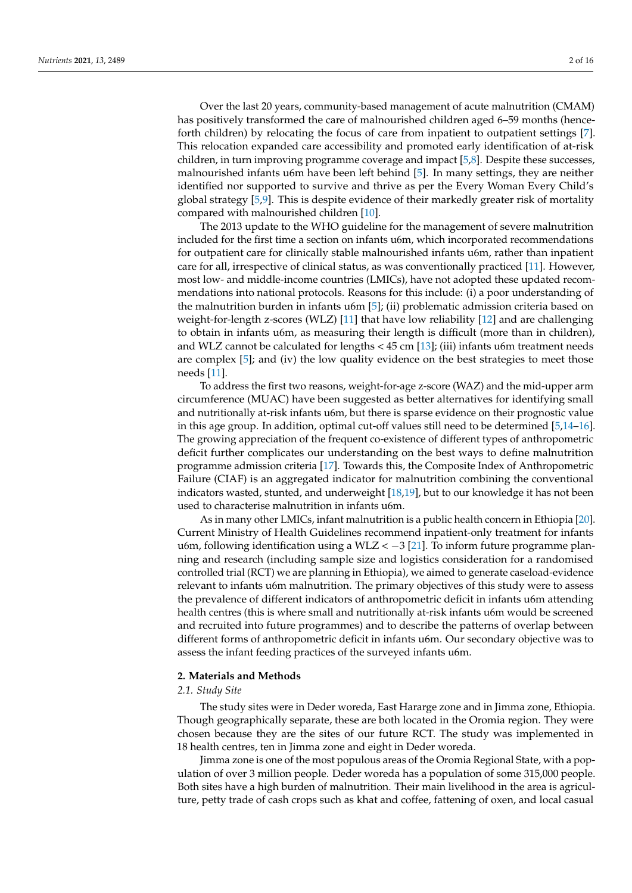Over the last 20 years, community-based management of acute malnutrition (CMAM) has positively transformed the care of malnourished children aged 6–59 months (henceforth children) by relocating the focus of care from inpatient to outpatient settings [\[7\]](#page-14-6). This relocation expanded care accessibility and promoted early identification of at-risk children, in turn improving programme coverage and impact [\[5](#page-14-4)[,8\]](#page-14-7). Despite these successes, malnourished infants u6m have been left behind [\[5\]](#page-14-4). In many settings, they are neither identified nor supported to survive and thrive as per the Every Woman Every Child's global strategy [\[5](#page-14-4)[,9\]](#page-14-8). This is despite evidence of their markedly greater risk of mortality compared with malnourished children [\[10\]](#page-14-9).

The 2013 update to the WHO guideline for the management of severe malnutrition included for the first time a section on infants u6m, which incorporated recommendations for outpatient care for clinically stable malnourished infants u6m, rather than inpatient care for all, irrespective of clinical status, as was conventionally practiced [\[11\]](#page-14-10). However, most low- and middle-income countries (LMICs), have not adopted these updated recommendations into national protocols. Reasons for this include: (i) a poor understanding of the malnutrition burden in infants u6m [\[5\]](#page-14-4); (ii) problematic admission criteria based on weight-for-length z-scores (WLZ) [\[11\]](#page-14-10) that have low reliability [\[12\]](#page-14-11) and are challenging to obtain in infants u6m, as measuring their length is difficult (more than in children), and WLZ cannot be calculated for lengths  $<$  45 cm [\[13\]](#page-14-12); (iii) infants u6m treatment needs are complex [\[5\]](#page-14-4); and (iv) the low quality evidence on the best strategies to meet those needs [\[11\]](#page-14-10).

To address the first two reasons, weight-for-age z-score (WAZ) and the mid-upper arm circumference (MUAC) have been suggested as better alternatives for identifying small and nutritionally at-risk infants u6m, but there is sparse evidence on their prognostic value in this age group. In addition, optimal cut-off values still need to be determined [\[5](#page-14-4)[,14](#page-14-13)[–16\]](#page-14-14). The growing appreciation of the frequent co-existence of different types of anthropometric deficit further complicates our understanding on the best ways to define malnutrition programme admission criteria [\[17\]](#page-14-15). Towards this, the Composite Index of Anthropometric Failure (CIAF) is an aggregated indicator for malnutrition combining the conventional indicators wasted, stunted, and underweight [\[18,](#page-14-16)[19\]](#page-14-17), but to our knowledge it has not been used to characterise malnutrition in infants u6m.

As in many other LMICs, infant malnutrition is a public health concern in Ethiopia [\[20\]](#page-14-18). Current Ministry of Health Guidelines recommend inpatient-only treatment for infants u6m, following identification using a WLZ  $<-3$  [\[21\]](#page-14-19). To inform future programme planning and research (including sample size and logistics consideration for a randomised controlled trial (RCT) we are planning in Ethiopia), we aimed to generate caseload-evidence relevant to infants u6m malnutrition. The primary objectives of this study were to assess the prevalence of different indicators of anthropometric deficit in infants u6m attending health centres (this is where small and nutritionally at-risk infants u6m would be screened and recruited into future programmes) and to describe the patterns of overlap between different forms of anthropometric deficit in infants u6m. Our secondary objective was to assess the infant feeding practices of the surveyed infants u6m.

# **2. Materials and Methods**

### *2.1. Study Site*

The study sites were in Deder woreda, East Hararge zone and in Jimma zone, Ethiopia. Though geographically separate, these are both located in the Oromia region. They were chosen because they are the sites of our future RCT. The study was implemented in 18 health centres, ten in Jimma zone and eight in Deder woreda.

Jimma zone is one of the most populous areas of the Oromia Regional State, with a population of over 3 million people. Deder woreda has a population of some 315,000 people. Both sites have a high burden of malnutrition. Their main livelihood in the area is agriculture, petty trade of cash crops such as khat and coffee, fattening of oxen, and local casual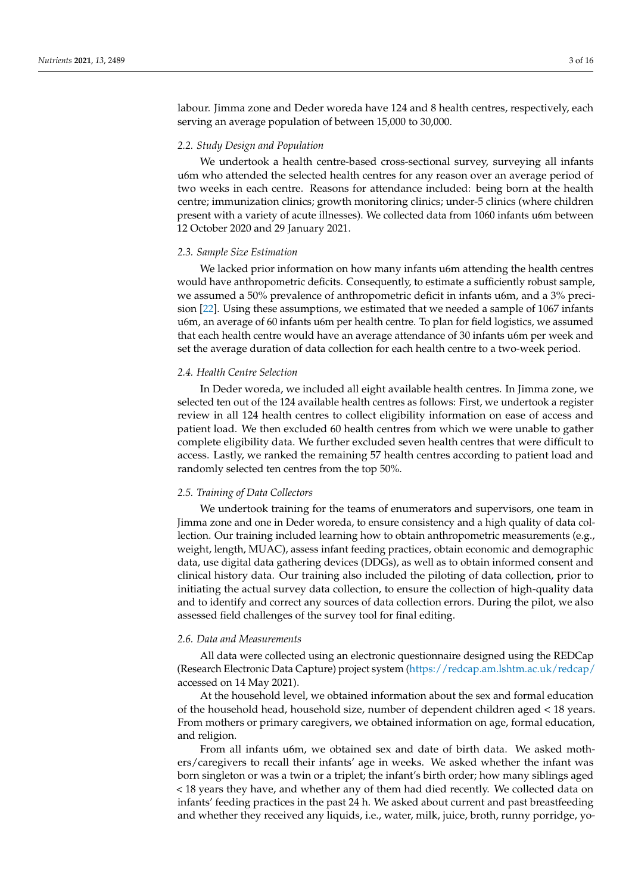labour. Jimma zone and Deder woreda have 124 and 8 health centres, respectively, each serving an average population of between 15,000 to 30,000.

## *2.2. Study Design and Population*

We undertook a health centre-based cross-sectional survey, surveying all infants u6m who attended the selected health centres for any reason over an average period of two weeks in each centre. Reasons for attendance included: being born at the health centre; immunization clinics; growth monitoring clinics; under-5 clinics (where children present with a variety of acute illnesses). We collected data from 1060 infants u6m between 12 October 2020 and 29 January 2021.

### *2.3. Sample Size Estimation*

We lacked prior information on how many infants u6m attending the health centres would have anthropometric deficits. Consequently, to estimate a sufficiently robust sample, we assumed a 50% prevalence of anthropometric deficit in infants u6m, and a 3% precision [\[22\]](#page-14-20). Using these assumptions, we estimated that we needed a sample of 1067 infants u6m, an average of 60 infants u6m per health centre. To plan for field logistics, we assumed that each health centre would have an average attendance of 30 infants u6m per week and set the average duration of data collection for each health centre to a two-week period.

### *2.4. Health Centre Selection*

In Deder woreda, we included all eight available health centres. In Jimma zone, we selected ten out of the 124 available health centres as follows: First, we undertook a register review in all 124 health centres to collect eligibility information on ease of access and patient load. We then excluded 60 health centres from which we were unable to gather complete eligibility data. We further excluded seven health centres that were difficult to access. Lastly, we ranked the remaining 57 health centres according to patient load and randomly selected ten centres from the top 50%.

# *2.5. Training of Data Collectors*

We undertook training for the teams of enumerators and supervisors, one team in Jimma zone and one in Deder woreda, to ensure consistency and a high quality of data collection. Our training included learning how to obtain anthropometric measurements (e.g., weight, length, MUAC), assess infant feeding practices, obtain economic and demographic data, use digital data gathering devices (DDGs), as well as to obtain informed consent and clinical history data. Our training also included the piloting of data collection, prior to initiating the actual survey data collection, to ensure the collection of high-quality data and to identify and correct any sources of data collection errors. During the pilot, we also assessed field challenges of the survey tool for final editing.

### *2.6. Data and Measurements*

All data were collected using an electronic questionnaire designed using the REDCap (Research Electronic Data Capture) project system [\(https://redcap.am.lshtm.ac.uk/redcap/](https://redcap.am.lshtm.ac.uk/redcap/) accessed on 14 May 2021).

At the household level, we obtained information about the sex and formal education of the household head, household size, number of dependent children aged < 18 years. From mothers or primary caregivers, we obtained information on age, formal education, and religion.

From all infants u6m, we obtained sex and date of birth data. We asked mothers/caregivers to recall their infants' age in weeks. We asked whether the infant was born singleton or was a twin or a triplet; the infant's birth order; how many siblings aged < 18 years they have, and whether any of them had died recently. We collected data on infants' feeding practices in the past 24 h. We asked about current and past breastfeeding and whether they received any liquids, i.e., water, milk, juice, broth, runny porridge, yo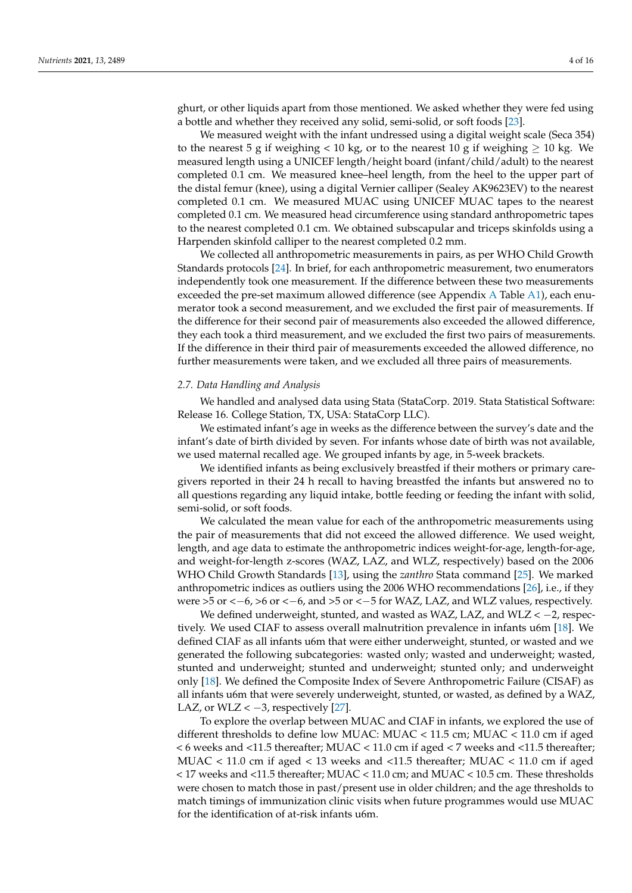ghurt, or other liquids apart from those mentioned. We asked whether they were fed using a bottle and whether they received any solid, semi-solid, or soft foods [\[23\]](#page-14-21).

We measured weight with the infant undressed using a digital weight scale (Seca 354) to the nearest 5 g if weighing < 10 kg, or to the nearest 10 g if weighing  $\geq 10$  kg. We measured length using a UNICEF length/height board (infant/child/adult) to the nearest completed 0.1 cm. We measured knee–heel length, from the heel to the upper part of the distal femur (knee), using a digital Vernier calliper (Sealey AK9623EV) to the nearest completed 0.1 cm. We measured MUAC using UNICEF MUAC tapes to the nearest completed 0.1 cm. We measured head circumference using standard anthropometric tapes to the nearest completed 0.1 cm. We obtained subscapular and triceps skinfolds using a Harpenden skinfold calliper to the nearest completed 0.2 mm.

We collected all anthropometric measurements in pairs, as per WHO Child Growth Standards protocols [\[24\]](#page-14-22). In brief, for each anthropometric measurement, two enumerators independently took one measurement. If the difference between these two measurements exceeded the pre-set maximum allowed difference (see Appendix [A](#page-13-0) Table [A1\)](#page-13-1), each enumerator took a second measurement, and we excluded the first pair of measurements. If the difference for their second pair of measurements also exceeded the allowed difference, they each took a third measurement, and we excluded the first two pairs of measurements. If the difference in their third pair of measurements exceeded the allowed difference, no further measurements were taken, and we excluded all three pairs of measurements.

### *2.7. Data Handling and Analysis*

We handled and analysed data using Stata (StataCorp. 2019. Stata Statistical Software: Release 16. College Station, TX, USA: StataCorp LLC).

We estimated infant's age in weeks as the difference between the survey's date and the infant's date of birth divided by seven. For infants whose date of birth was not available, we used maternal recalled age. We grouped infants by age, in 5-week brackets.

We identified infants as being exclusively breastfed if their mothers or primary caregivers reported in their 24 h recall to having breastfed the infants but answered no to all questions regarding any liquid intake, bottle feeding or feeding the infant with solid, semi-solid, or soft foods.

We calculated the mean value for each of the anthropometric measurements using the pair of measurements that did not exceed the allowed difference. We used weight, length, and age data to estimate the anthropometric indices weight-for-age, length-for-age, and weight-for-length z-scores (WAZ, LAZ, and WLZ, respectively) based on the 2006 WHO Child Growth Standards [\[13\]](#page-14-12), using the *zanthro* Stata command [\[25\]](#page-14-23). We marked anthropometric indices as outliers using the 2006 WHO recommendations [\[26\]](#page-15-0), i.e., if they were  $>5$  or  $<-6$ ,  $>6$  or  $<-6$ , and  $>5$  or  $<-5$  for WAZ, LAZ, and WLZ values, respectively.

We defined underweight, stunted, and wasted as WAZ, LAZ, and WLZ  $<-2$ , respectively. We used CIAF to assess overall malnutrition prevalence in infants u6m [\[18\]](#page-14-16). We defined CIAF as all infants u6m that were either underweight, stunted, or wasted and we generated the following subcategories: wasted only; wasted and underweight; wasted, stunted and underweight; stunted and underweight; stunted only; and underweight only [\[18\]](#page-14-16). We defined the Composite Index of Severe Anthropometric Failure (CISAF) as all infants u6m that were severely underweight, stunted, or wasted, as defined by a WAZ, LAZ, or WLZ <  $-3$ , respectively [\[27\]](#page-15-1).

To explore the overlap between MUAC and CIAF in infants, we explored the use of different thresholds to define low MUAC: MUAC < 11.5 cm; MUAC < 11.0 cm if aged < 6 weeks and <11.5 thereafter; MUAC < 11.0 cm if aged < 7 weeks and <11.5 thereafter; MUAC  $< 11.0$  cm if aged  $< 13$  weeks and  $< 11.5$  thereafter; MUAC  $< 11.0$  cm if aged < 17 weeks and <11.5 thereafter; MUAC < 11.0 cm; and MUAC < 10.5 cm. These thresholds were chosen to match those in past/present use in older children; and the age thresholds to match timings of immunization clinic visits when future programmes would use MUAC for the identification of at-risk infants u6m.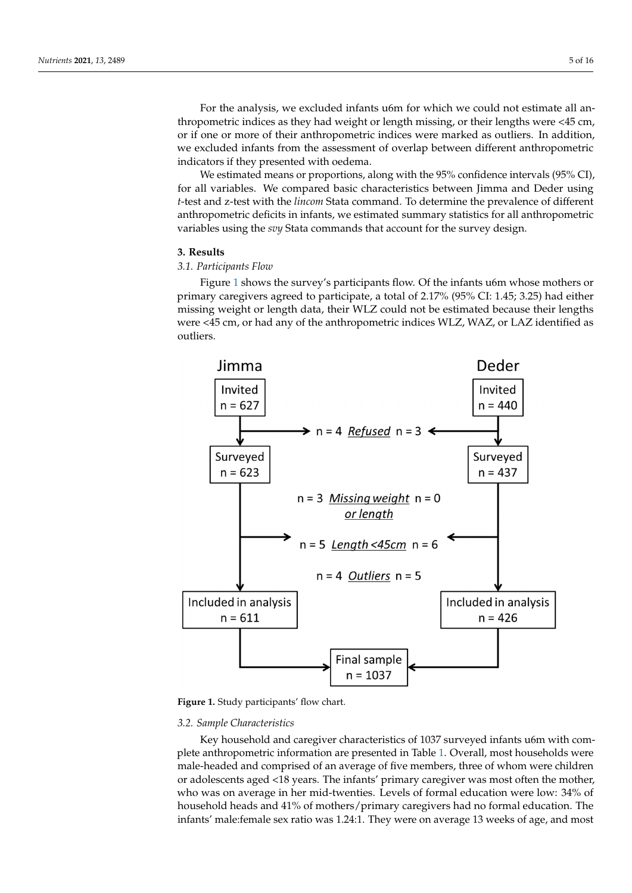For the analysis, we excluded infants u6m for which we could not estimate all anthropometric indices as they had weight or length missing, or their lengths were <45 cm, or if one or more of their anthropometric indices were marked as outliers. In addition, we excluded infants from the assessment of overlap between different anthropometric indicators if they presented with oedema.

We estimated means or proportions, along with the 95% confidence intervals (95% CI), for all variables. We compared basic characteristics between Jimma and Deder using *t*-test and z-test with the *lincom* Stata command. To determine the prevalence of different anthropometric deficits in infants, we estimated summary statistics for all anthropometric variables using the *svy* Stata commands that account for the survey design.

### **3. Results 3. Results**

# *3.1. Participants Flow 3.1. Participants Flow*

Figure [1](#page-4-0) shows the survey's participants flow. Of the infants u6m whose mothers or Figure 1 shows the survey's participants flow. Of the infants u6m whose mothers or primary caregivers agreed to participate, a total of 2.17% (95% CI: 1.45; 3.25) had either primary caregivers agreed to participate, a total of 2.17% (95% CI: 1.45; 3.25) had either missing weight or length data, their WLZ could not be estimated because their lengths missing weight or length data, their WLZ could not be estimated because their lengths were <45 cm, or had any of the anthropometric indices WLZ, WAZ, or LAZ identified as were <45 cm, or had any of the anthropometric indices WLZ, WAZ, or LAZ identified as outliers. outliers.

<span id="page-4-0"></span>

**Figure 1. Figure 1.**  Study participants' flow chart. Study participants' flow chart.

### *3.2. Sample Characteristics*

Key household and caregiver characteristics of 1037 surveyed infants u6m with complete anthropometric information are presented in Table [1.](#page-5-0) Overall, most households were male-headed and comprised of an average of five members, three of whom were children or adolescents aged <18 years. The infants' primary caregiver was most often the mother, who was on average in her mid-twenties. Levels of formal education were low: 34% of household heads and 41% of mothers/primary caregivers had no formal education. The infants' male:female sex ratio was 1.24:1. They were on average 13 weeks of age, and most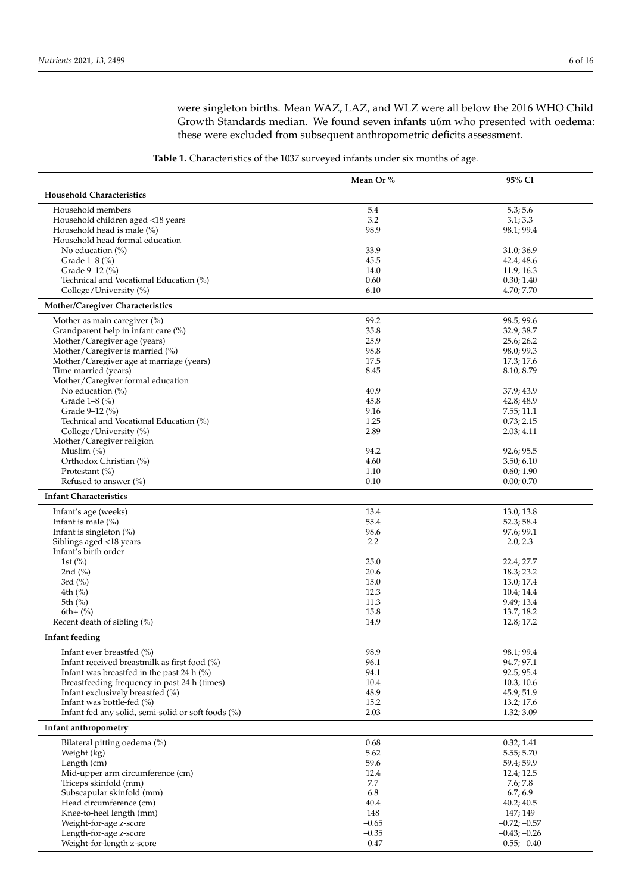were singleton births. Mean WAZ, LAZ, and WLZ were all below the 2016 WHO Child Growth Standards median. We found seven infants u6m who presented with oedema: these were excluded from subsequent anthropometric deficits assessment.

**Table 1.** Characteristics of the 1037 surveyed infants under six months of age.

<span id="page-5-0"></span>

|                                                                  | Mean Or %    | 95% CI                   |
|------------------------------------------------------------------|--------------|--------------------------|
| <b>Household Characteristics</b>                                 |              |                          |
| Household members                                                | 5.4          | 5.3; 5.6                 |
| Household children aged <18 years                                | 3.2          | 3.1; 3.3                 |
| Household head is male (%)                                       | 98.9         | 98.1; 99.4               |
| Household head formal education                                  |              |                          |
| No education $(\%)$                                              | 33.9         | 31.0; 36.9               |
| Grade 1-8 (%)                                                    | 45.5         | 42.4; 48.6               |
| Grade 9-12 (%)                                                   | 14.0<br>0.60 | 11.9; 16.3<br>0.30; 1.40 |
| Technical and Vocational Education (%)<br>College/University (%) | 6.10         | 4.70; 7.70               |
| Mother/Caregiver Characteristics                                 |              |                          |
|                                                                  |              |                          |
| Mother as main caregiver $(\%)$                                  | 99.2         | 98.5; 99.6               |
| Grandparent help in infant care (%)                              | 35.8<br>25.9 | 32.9; 38.7               |
| Mother/Caregiver age (years)<br>Mother/Caregiver is married (%)  | 98.8         | 25.6; 26.2<br>98.0; 99.3 |
| Mother/Caregiver age at marriage (years)                         | 17.5         | 17.3; 17.6               |
| Time married (years)                                             | 8.45         | 8.10; 8.79               |
| Mother/Caregiver formal education                                |              |                          |
| No education (%)                                                 | 40.9         | 37.9; 43.9               |
| Grade 1-8 (%)                                                    | 45.8         | 42.8; 48.9               |
| Grade 9–12 (%)                                                   | 9.16         | 7.55; 11.1               |
| Technical and Vocational Education (%)                           | 1.25         | 0.73; 2.15               |
| College/University (%)                                           | 2.89         | 2.03; 4.11               |
| Mother/Caregiver religion                                        |              |                          |
| Muslim $(\%)$                                                    | 94.2         | 92.6; 95.5               |
| Orthodox Christian (%)                                           | 4.60         | 3.50; 6.10               |
| Protestant (%)                                                   | 1.10         | 0.60; 1.90               |
| Refused to answer $(\%)$                                         | 0.10         | 0.00; 0.70               |
| <b>Infant Characteristics</b>                                    |              |                          |
| Infant's age (weeks)                                             | 13.4         | 13.0; 13.8               |
| Infant is male $(\%)$                                            | 55.4         | 52.3; 58.4               |
| Infant is singleton $(\%)$                                       | 98.6         | 97.6; 99.1               |
| Siblings aged <18 years                                          | 2.2          | 2.0; 2.3                 |
| Infant's birth order                                             |              |                          |
| 1st $(\% )$                                                      | 25.0         | 22.4; 27.7               |
| 2nd $(\%)$                                                       | 20.6         | 18.3; 23.2               |
| 3rd $(\%)$                                                       | 15.0         | 13.0; 17.4               |
| 4th $(\% )$                                                      | 12.3         | 10.4; 14.4               |
| 5th (%)                                                          | 11.3         | 9.49; 13.4               |
| $6th+(%)$                                                        | 15.8         | 13.7; 18.2               |
| Recent death of sibling $(\%)$                                   | 14.9         | 12.8; 17.2               |
| Infant feeding                                                   |              |                          |
| Infant ever breastfed (%)                                        | 98.9         | 98.1; 99.4               |
| Infant received breastmilk as first food (%)                     | 96.1         | 94.7; 97.1               |
| Infant was breastfed in the past 24 h $(\%)$                     | 94.1         | 92.5; 95.4               |
| Breastfeeding frequency in past 24 h (times)                     | 10.4         | 10.3; 10.6               |
| Infant exclusively breastfed (%)                                 | 48.9         | 45.9; 51.9               |
| Infant was bottle-fed (%)                                        | 15.2         | 13.2; 17.6               |
| Infant fed any solid, semi-solid or soft foods (%)               | 2.03         | 1.32; 3.09               |
| Infant anthropometry                                             |              |                          |
| Bilateral pitting oedema (%)                                     | 0.68         | 0.32; 1.41               |
| Weight (kg)                                                      | 5.62         | 5.55; 5.70               |
| Length (cm)                                                      | 59.6         | 59.4; 59.9               |
| Mid-upper arm circumference (cm)                                 | 12.4         | 12.4; 12.5               |
| Triceps skinfold (mm)                                            | 7.7          | 7.6; 7.8                 |
| Subscapular skinfold (mm)                                        | 6.8          | 6.7; 6.9                 |
| Head circumference (cm)                                          | 40.4         | 40.2; 40.5               |
| Knee-to-heel length (mm)                                         | 148          | 147; 149                 |
| Weight-for-age z-score                                           | $-0.65$      | $-0.72; -0.57$           |
| Length-for-age z-score                                           | $-0.35$      | $-0.43; -0.26$           |
| Weight-for-length z-score                                        | $-0.47$      | $-0.55; -0.40$           |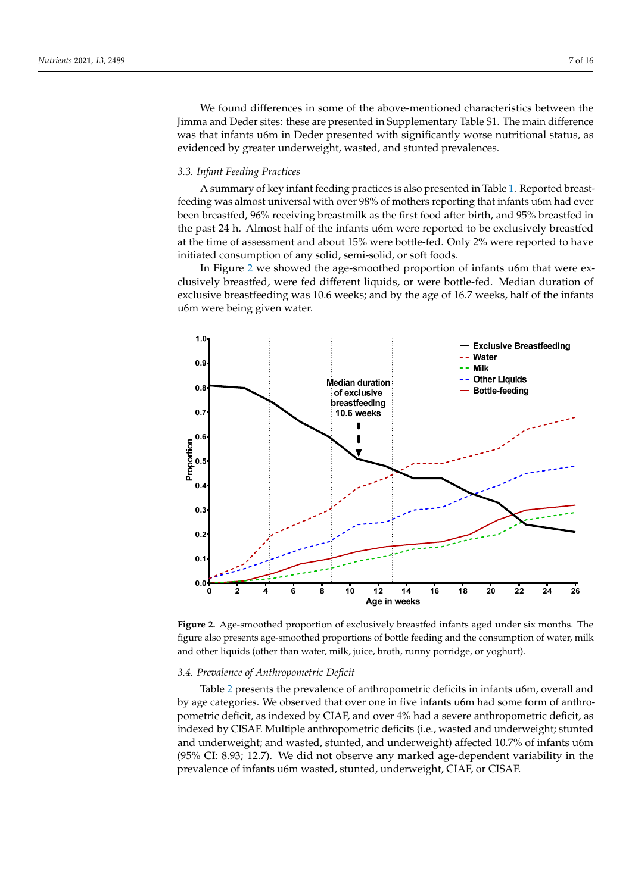We found differences in some of the above-mentioned characteristics between the Jimma and Deder sites: these are presented in Supplementary Table S1. The main difference was that infants u6m in Deder presented with significantly worse nutritional status, as evidenced by greater underweight, wasted, and stunted prevalences.

### *3.3. Infant Feeding Practices*

A summary of key infant feeding practices is also presented in Table [1.](#page-5-0) Reported breastfeeding was almost universal with over 98% of mothers reporting that infants u6m had ever been breastfed, 96% receiving breastmilk as the first food after birth, and 95% breastfed in the past 24 h. Almost half of the infants u6m were reported to be exclusively breastfed at the time of assessment and about 15% were bottle-fed. Only 2% were reported to have initiated consumption of any solid, semi-solid, or soft foods.

> In Figure [2](#page-6-0) we showed the age-smoothed proportion of infants u6m that were exclusively breastfed, were fed different liquids, or were bottle-fed. Median duration of exclusive breastfeeding was 10.6 weeks; and by the age of 16.7 weeks, half of the infants u6m were being given water. were being given water.

<span id="page-6-0"></span>

**Figure 2.** Age-smoothed proportion of exclusively breastfed infants aged under six months. The figure also presents age-smoothed proportions of bottle feeding and the consumption of water, milk and other liquids (other than water, milk, juice, broth, runny porridge, or yoghurt).

# *3.4. Prevalence of Anthropometric Deficit 3.4. Prevalence of Anthropometric Deficit*

Table 2 presents the prevalence of anthropometric deficits in infants u6m, overall and Table [2](#page-7-0) presents the prevalence of anthropometric deficits in infants u6m, overall and by age categories. We observed that over one in five infants u6m had some form of anthropometric deficit, as indexed by CIAF, and over 4% had a severe anthropometric deficit, as indexed by CISAF. Multiple anthropometric deficits (i.e., wasted and underweight; stunted and underweight; and wasted, stunted, and underweight) affected 10.7% of infants u6m (95% CI: 8.93; 12.7). We did not observe any marked age-dependent variability in the in the prevalence of infants u6m wasted, stunted, underweight, CIAF, or CISAF. prevalence of infants u6m wasted, stunted, underweight, CIAF, or CISAF.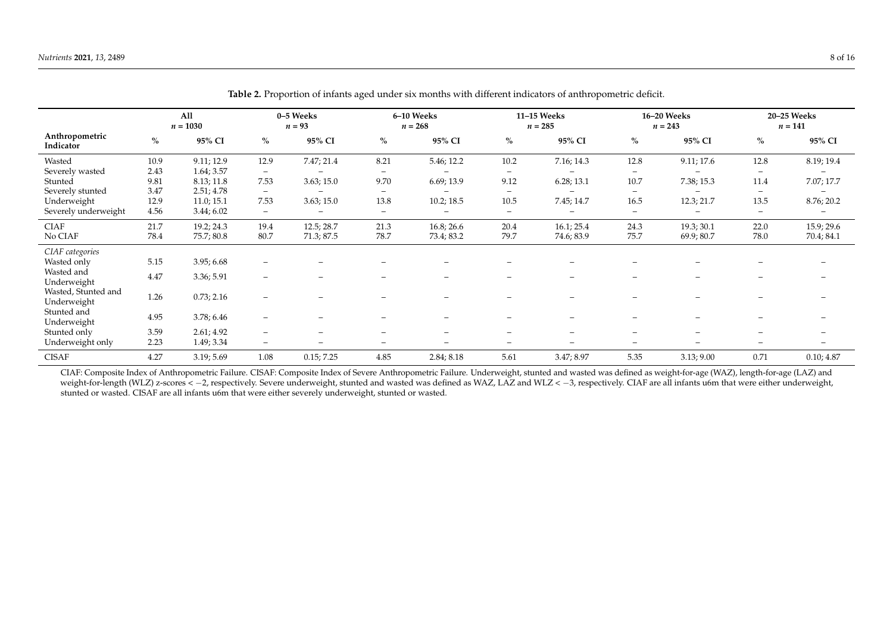|                                    |      | All<br>$n = 1030$ |                          | 0-5 Weeks<br>$n = 93$ |                          | 6-10 Weeks<br>$n = 268$  |                          | 11-15 Weeks<br>$n = 285$ |                          | 16-20 Weeks<br>$n = 243$ |                          | 20-25 Weeks<br>$n = 141$ |
|------------------------------------|------|-------------------|--------------------------|-----------------------|--------------------------|--------------------------|--------------------------|--------------------------|--------------------------|--------------------------|--------------------------|--------------------------|
| Anthropometric<br>Indicator        | $\%$ | 95% CI            | $\%$                     | 95% CI                | $\%$                     | 95% CI                   | $\%$                     | 95% CI                   | $\%$                     | 95% CI                   | $\%$                     | 95% CI                   |
| Wasted                             | 10.9 | 9.11; 12.9        | 12.9                     | 7.47; 21.4            | 8.21                     | 5.46; 12.2               | 10.2                     | 7.16; 14.3               | 12.8                     | 9.11; 17.6               | 12.8                     | 8.19; 19.4               |
| Severely wasted                    | 2.43 | 1.64; 3.57        | $\qquad \qquad -$        |                       | $\qquad \qquad -$        |                          | $\qquad \qquad -$        |                          | $\overline{\phantom{m}}$ |                          | $\overline{\phantom{m}}$ |                          |
| Stunted                            | 9.81 | 8.13; 11.8        | 7.53                     | 3.63; 15.0            | 9.70                     | 6.69; 13.9               | 9.12                     | 6.28; 13.1               | 10.7                     | 7.38; 15.3               | 11.4                     | 7.07; 17.7               |
| Severely stunted                   | 3.47 | 2.51; 4.78        | $\overline{\phantom{0}}$ |                       | $\overline{\phantom{m}}$ | $\qquad \qquad$          | $\overline{\phantom{0}}$ |                          | $\overline{\phantom{m}}$ | $\overline{\phantom{0}}$ | $\overline{\phantom{a}}$ |                          |
| Underweight                        | 12.9 | 11.0; 15.1        | 7.53                     | 3.63; 15.0            | 13.8                     | 10.2; 18.5               | 10.5                     | 7.45; 14.7               | 16.5                     | 12.3; 21.7               | 13.5                     | 8.76; 20.2               |
| Severely underweight               | 4.56 | 3.44; 6.02        | $\overline{\phantom{m}}$ |                       | $\overline{\phantom{a}}$ | $\qquad \qquad$          | $\overline{\phantom{m}}$ | $\qquad \qquad$          |                          | $\overline{\phantom{0}}$ | $\overline{\phantom{m}}$ | $\qquad \qquad$          |
| <b>CIAF</b>                        | 21.7 | 19.2; 24.3        | 19.4                     | 12.5; 28.7            | 21.3                     | 16.8; 26.6               | 20.4                     | 16.1; 25.4               | 24.3                     | 19.3; 30.1               | 22.0                     | 15.9; 29.6               |
| No CIAF                            | 78.4 | 75.7; 80.8        | 80.7                     | 71.3; 87.5            | 78.7                     | 73.4; 83.2               | 79.7                     | 74.6; 83.9               | 75.7                     | 69.9; 80.7               | 78.0                     | 70.4; 84.1               |
| CIAF categories                    |      |                   |                          |                       |                          |                          |                          |                          |                          |                          |                          |                          |
| Wasted only                        | 5.15 | 3.95; 6.68        | $\qquad \qquad -$        |                       |                          |                          |                          |                          |                          |                          |                          |                          |
| Wasted and                         | 4.47 | 3.36; 5.91        | $\overline{\phantom{a}}$ |                       |                          |                          |                          |                          |                          |                          |                          |                          |
| Underweight                        |      |                   |                          |                       |                          |                          |                          |                          |                          |                          |                          |                          |
| Wasted, Stunted and<br>Underweight | 1.26 | 0.73; 2.16        | $\qquad \qquad$          |                       |                          |                          |                          |                          |                          |                          |                          |                          |
| Stunted and                        |      |                   |                          |                       |                          |                          |                          |                          |                          |                          |                          |                          |
| Underweight                        | 4.95 | 3.78; 6.46        | $\overline{\phantom{0}}$ |                       |                          |                          |                          |                          |                          |                          |                          |                          |
| Stunted only                       | 3.59 | 2.61; 4.92        | $\overline{\phantom{0}}$ |                       | $\qquad \qquad$          | -                        | $\overline{\phantom{0}}$ | $\qquad \qquad =$        |                          | $\overline{\phantom{0}}$ |                          |                          |
| Underweight only                   | 2.23 | 1.49; 3.34        | $\qquad \qquad -$        |                       | $\qquad \qquad =$        | $\overline{\phantom{0}}$ | $\overline{\phantom{0}}$ | $\overline{\phantom{0}}$ | $\equiv$                 | $\equiv$                 |                          |                          |
| <b>CISAF</b>                       | 4.27 | 3.19; 5.69        | 1.08                     | 0.15; 7.25            | 4.85                     | 2.84; 8.18               | 5.61                     | 3.47; 8.97               | 5.35                     | 3.13; 9.00               | 0.71                     | 0.10; 4.87               |

**Table 2.** Proportion of infants aged under six months with different indicators of anthropometric deficit.

<span id="page-7-0"></span>CIAF: Composite Index of Anthropometric Failure. CISAF: Composite Index of Severe Anthropometric Failure. Underweight, stunted and wasted was defined as weight-for-age (WAZ), length-for-age (LAZ) and weight-for-length (WLZ) z-scores < −2, respectively. Severe underweight, stunted and wasted was defined as WAZ, LAZ and WLZ < -3, respectively. CIAF are all infants u6m that were either underweight, stunted or wasted. CISAF are all infants u6m that were either severely underweight, stunted or wasted.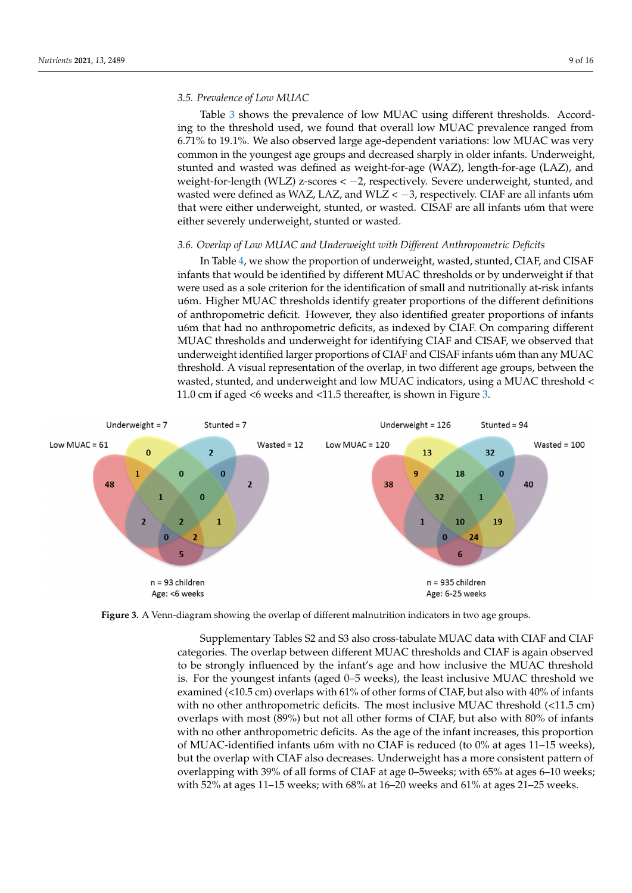# *3.5. Prevalence of Low MUAC*

Table 3 shows the prevalence of low MUAC using different thresholds. According to the threshold used, we found that overall low MUAC prevalence ranged from 6.71% to 19.1%. We also observed large age-dependent variations: low MUAC was very common in the youngest age groups and decreased sharply in older infants. Underweight, stunted and wasted was defined as weight-for-age (WAZ), length-for-age (LAZ), and weight-for-length (WLZ) z-scores < -2, respectively. Severe underweight, stunted, and wasted were defined as WAZ, LAZ, and WLZ < -3, respectively. CIAF are all infants u6m that were either underweight, stunted, or wasted. CISAF are all infants u6m that were either severely underweight*,* stunted or wasted.

#### *3.6. Overlap of Low MUAC and Underweight with Different Anthropometric Deficits* threshold < 11.0 cm if aged <6 weeks and <11.5 thereafter, is shown in Figure 3. Joerlap of Low MUAC and Underweight with Different Anthropometric Deficits

In Table 4, we show the proportion of underweight, wasted, stunted, CIAF, and CISAF infants that would be identified by different MUAC thresholds or by underweight if that were used as a sole criterion for the identification of small and nutritionally at-risk infants u6m. Higher MUAC thresholds identify greater proportions of the different definitions of anthropometric deficit. However, they also identified greater proportions of infants u6m that had no anthropometric deficits, as indexed by CIAF. On comparing different MUAC thresholds and underweight for identifying CIAF and CISAF, we observed that underweight identified larger proportions of CIAF and CISAF infants u6m than any MUAC threshold. A visual representation of the overlap, in two different age groups, between the wasted, stunted, and underweight and low MUAC indicators, using a MUAC threshold  $<\,$ 11.0 cm if aged <6 weeks and <11.5 thereafter, is shown in Figure [3.](#page-8-0)

<span id="page-8-0"></span>

**Figure 3.** A Venn-diagram showing the overlap of different malnutrition indicators in two age groups. **Figure 3.** A Venn-diagram showing the overlap of different malnutrition indicators in two age groups.

Supplementary Tables S2 and S3 also cross-tabulate MUAC data with CIAF and CIAF categories. The overlap between different MUAC thresholds and CIAF is again observed to be strongly influenced by the infant's age and how inclusive the MUAC threshold is. For the youngest infants (aged 0–5 weeks), the least inclusive MUAC threshold we examined (<10.5 cm) overlaps with 61% of other forms of CIAF, but also with 40% of infants with no other anthropometric deficits. The most inclusive MUAC threshold (<11.5 cm) overlaps with most (89%) but not all other forms of CIAF, but also with 80% of infants with no other anthropometric deficits. As the age of the infant increases, this proportion of MUAC-identified infants u6m with no CIAF is reduced (to 0% at ages 11–15 weeks), but the overlap with CIAF also decreases. Underweight has a more consistent pattern of overlapping with 39% of all forms of CIAF at age 0–5weeks; with 65% at ages 6–10 weeks; with 52% at ages 11–15 weeks; with 68% at 16–20 weeks and 61% at ages 21–25 weeks.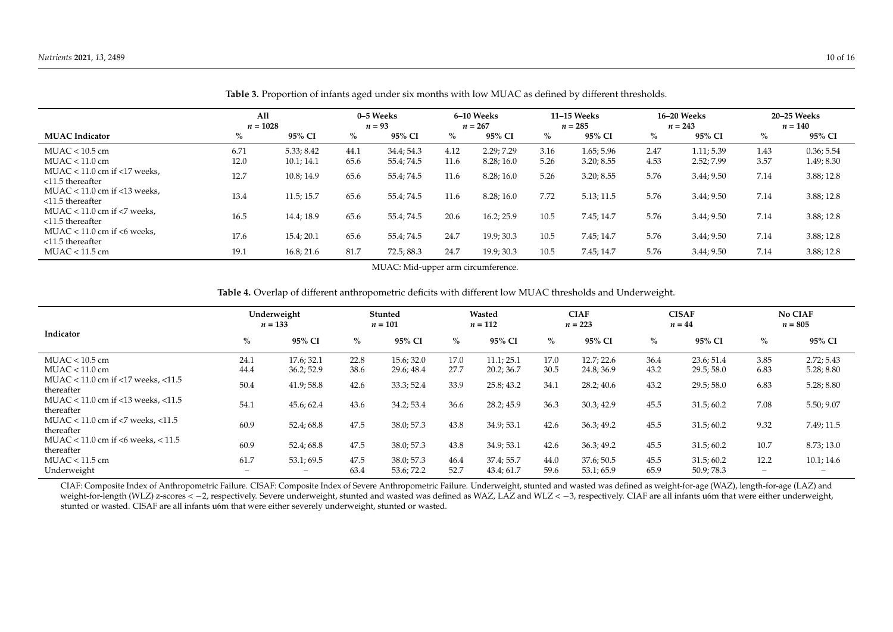|                                                               | All<br>$n = 1028$ |            | 0–5 Weeks<br>$n = 93$ |            | 6–10 Weeks<br>$n = 267$ |            | 11-15 Weeks<br>$n = 285$ |            | 16-20 Weeks<br>$n = 243$ |            | 20–25 Weeks<br>$n = 140$ |            |
|---------------------------------------------------------------|-------------------|------------|-----------------------|------------|-------------------------|------------|--------------------------|------------|--------------------------|------------|--------------------------|------------|
| <b>MUAC</b> Indicator                                         | $\%$              | 95% CI     | $\%$                  | 95% CI     | $\%$                    | 95% CI     | $\%$                     | 95% CI     | $\%$                     | 95% CI     | $\%$                     | 95% CI     |
| $MUAC < 10.5$ cm                                              | 6.71              | 5.33; 8.42 | 44.1                  | 34.4:54.3  | 4.12                    | 2.29:7.29  | 3.16                     | 1.65; 5.96 | 2.47                     | 1.11; 5.39 | 1.43                     | 0.36; 5.54 |
| $MUAC < 11.0$ cm                                              | 12.0              | 10.1; 14.1 | 65.6                  | 55.4; 74.5 | 11.6                    | 8.28;16.0  | 5.26                     | 3.20; 8.55 | 4.53                     | 2.52; 7.99 | 3.57                     | 1.49; 8.30 |
| MUAC < $11.0 \text{ cm}$ if <17 weeks.<br>$<$ 11.5 thereafter | 12.7              | 10.8; 14.9 | 65.6                  | 55.4; 74.5 | 11.6                    | 8.28;16.0  | 5.26                     | 3.20; 8.55 | 5.76                     | 3.44; 9.50 | 7.14                     | 3.88; 12.8 |
| MUAC < $11.0 \text{ cm}$ if <13 weeks.<br>$<$ 11.5 thereafter | 13.4              | 11.5; 15.7 | 65.6                  | 55.4; 74.5 | 11.6                    | 8.28;16.0  | 7.72                     | 5.13; 11.5 | 5.76                     | 3.44; 9.50 | 7.14                     | 3.88; 12.8 |
| MUAC < $11.0$ cm if <7 weeks,<br>$<$ 11.5 thereafter          | 16.5              | 14.4; 18.9 | 65.6                  | 55.4; 74.5 | 20.6                    | 16.2; 25.9 | 10.5                     | 7.45; 14.7 | 5.76                     | 3.44; 9.50 | 7.14                     | 3.88; 12.8 |
| MUAC $<$ 11.0 cm if $<$ 6 weeks.<br>$<$ 11.5 thereafter       | 17.6              | 15.4; 20.1 | 65.6                  | 55.4; 74.5 | 24.7                    | 19.9; 30.3 | 10.5                     | 7.45; 14.7 | 5.76                     | 3.44; 9.50 | 7.14                     | 3.88; 12.8 |
| $MUAC < 11.5$ cm                                              | 19.1              | 16.8; 21.6 | 81.7                  | 72.5; 88.3 | 24.7                    | 19.9; 30.3 | 10.5                     | 7.45; 14.7 | 5.76                     | 3.44; 9.50 | 7.14                     | 3.88; 12.8 |

**Table 3.** Proportion of infants aged under six months with low MUAC as defined by different thresholds.

MUAC: Mid-upper arm circumference.

**Table 4.** Overlap of different anthropometric deficits with different low MUAC thresholds and Underweight.

<span id="page-9-0"></span>

|                                                      | Underweight<br>$n = 133$ |                          | Stunted<br>$n = 101$ |            | Wasted<br>$n = 112$ |            | <b>CIAF</b><br>$n = 223$ |            | <b>CISAF</b><br>$n = 44$ |            | <b>No CIAF</b><br>$n = 805$ |            |
|------------------------------------------------------|--------------------------|--------------------------|----------------------|------------|---------------------|------------|--------------------------|------------|--------------------------|------------|-----------------------------|------------|
| Indicator                                            | $\%$                     | 95% CI                   | $\%$                 | 95% CI     | $\%$                | 95% CI     | $\%$                     | 95% CI     | $\%$                     | 95% CI     | $\%$                        | 95% CI     |
| $MUAC < 10.5$ cm                                     | 24.1                     | 17.6; 32.1               | 22.8                 | 15.6:32.0  | 17.0                | 11.1; 25.1 | 17.0                     | 12.7; 22.6 | 36.4                     | 23.6; 51.4 | 3.85                        | 2.72; 5.43 |
| $MUAC < 11.0$ cm                                     | 44.4                     | 36.2; 52.9               | 38.6                 | 29.6; 48.4 | 27.7                | 20.2; 36.7 | 30.5                     | 24.8; 36.9 | 43.2                     | 29.5; 58.0 | 6.83                        | 5.28; 8.80 |
| MUAC < 11.0 cm if <17 weeks, <11.5<br>thereafter     | 50.4                     | 41.9;58.8                | 42.6                 | 33.3; 52.4 | 33.9                | 25.8; 43.2 | 34.1                     | 28.2; 40.6 | 43.2                     | 29.5;58.0  | 6.83                        | 5.28; 8.80 |
| MUAC < 11.0 cm if <13 weeks, <11.5<br>thereafter     | 54.1                     | 45.6; 62.4               | 43.6                 | 34.2; 53.4 | 36.6                | 28.2; 45.9 | 36.3                     | 30.3; 42.9 | 45.5                     | 31.5;60.2  | 7.08                        | 5.50; 9.07 |
| MUAC < 11.0 cm if <7 weeks, <11.5<br>thereafter      | 60.9                     | 52.4; 68.8               | 47.5                 | 38.0; 57.3 | 43.8                | 34.9; 53.1 | 42.6                     | 36.3; 49.2 | 45.5                     | 31.5;60.2  | 9.32                        | 7.49; 11.5 |
| MUAC < $11.0$ cm if <6 weeks, < $11.5$<br>thereafter | 60.9                     | 52.4; 68.8               | 47.5                 | 38.0; 57.3 | 43.8                | 34.9; 53.1 | 42.6                     | 36.3; 49.2 | 45.5                     | 31.5;60.2  | 10.7                        | 8.73; 13.0 |
| $MUAC < 11.5$ cm                                     | 61.7                     | 53.1; 69.5               | 47.5                 | 38.0; 57.3 | 46.4                | 37.4; 55.7 | 44.0                     | 37.6;50.5  | 45.5                     | 31.5;60.2  | 12.2                        | 10.1; 14.6 |
| Underweight                                          | -                        | $\overline{\phantom{0}}$ | 63.4                 | 53.6; 72.2 | 52.7                | 43.4;61.7  | 59.6                     | 53.1:65.9  | 65.9                     | 50.9:78.3  | $-$                         | -          |

<span id="page-9-1"></span>CIAF: Composite Index of Anthropometric Failure. CISAF: Composite Index of Severe Anthropometric Failure. Underweight, stunted and wasted was defined as weight-for-age (WAZ), length-for-age (LAZ) and weight-for-length (WLZ) z-scores < −2, respectively. Severe underweight, stunted and wasted was defined as WAZ, LAZ and WLZ < -3, respectively. CIAF are all infants u6m that were either underweight, stunted or wasted. CISAF are all infants u6m that were either severely underweight, stunted or wasted.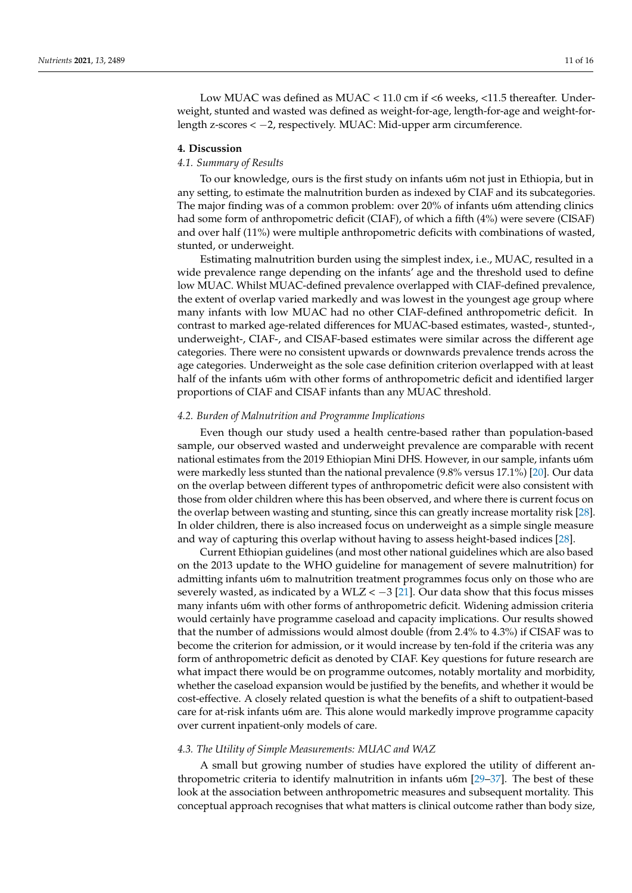# **4. Discussion**

### *4.1. Summary of Results*

To our knowledge, ours is the first study on infants u6m not just in Ethiopia, but in any setting, to estimate the malnutrition burden as indexed by CIAF and its subcategories. The major finding was of a common problem: over 20% of infants u6m attending clinics had some form of anthropometric deficit (CIAF), of which a fifth (4%) were severe (CISAF) and over half (11%) were multiple anthropometric deficits with combinations of wasted, stunted, or underweight.

Estimating malnutrition burden using the simplest index, i.e., MUAC, resulted in a wide prevalence range depending on the infants' age and the threshold used to define low MUAC. Whilst MUAC-defined prevalence overlapped with CIAF-defined prevalence, the extent of overlap varied markedly and was lowest in the youngest age group where many infants with low MUAC had no other CIAF-defined anthropometric deficit. In contrast to marked age-related differences for MUAC-based estimates, wasted-, stunted-, underweight-, CIAF-, and CISAF-based estimates were similar across the different age categories. There were no consistent upwards or downwards prevalence trends across the age categories. Underweight as the sole case definition criterion overlapped with at least half of the infants u6m with other forms of anthropometric deficit and identified larger proportions of CIAF and CISAF infants than any MUAC threshold.

## *4.2. Burden of Malnutrition and Programme Implications*

Even though our study used a health centre-based rather than population-based sample, our observed wasted and underweight prevalence are comparable with recent national estimates from the 2019 Ethiopian Mini DHS. However, in our sample, infants u6m were markedly less stunted than the national prevalence (9.8% versus 17.1%) [\[20\]](#page-14-18). Our data on the overlap between different types of anthropometric deficit were also consistent with those from older children where this has been observed, and where there is current focus on the overlap between wasting and stunting, since this can greatly increase mortality risk [\[28\]](#page-15-2). In older children, there is also increased focus on underweight as a simple single measure and way of capturing this overlap without having to assess height-based indices [\[28\]](#page-15-2).

Current Ethiopian guidelines (and most other national guidelines which are also based on the 2013 update to the WHO guideline for management of severe malnutrition) for admitting infants u6m to malnutrition treatment programmes focus only on those who are severely wasted, as indicated by a WLZ < −3 [\[21\]](#page-14-19). Our data show that this focus misses many infants u6m with other forms of anthropometric deficit. Widening admission criteria would certainly have programme caseload and capacity implications. Our results showed that the number of admissions would almost double (from 2.4% to 4.3%) if CISAF was to become the criterion for admission, or it would increase by ten-fold if the criteria was any form of anthropometric deficit as denoted by CIAF. Key questions for future research are what impact there would be on programme outcomes, notably mortality and morbidity, whether the caseload expansion would be justified by the benefits, and whether it would be cost-effective. A closely related question is what the benefits of a shift to outpatient-based care for at-risk infants u6m are. This alone would markedly improve programme capacity over current inpatient-only models of care.

### *4.3. The Utility of Simple Measurements: MUAC and WAZ*

A small but growing number of studies have explored the utility of different anthropometric criteria to identify malnutrition in infants u6m [\[29–](#page-15-3)[37\]](#page-15-4). The best of these look at the association between anthropometric measures and subsequent mortality. This conceptual approach recognises that what matters is clinical outcome rather than body size,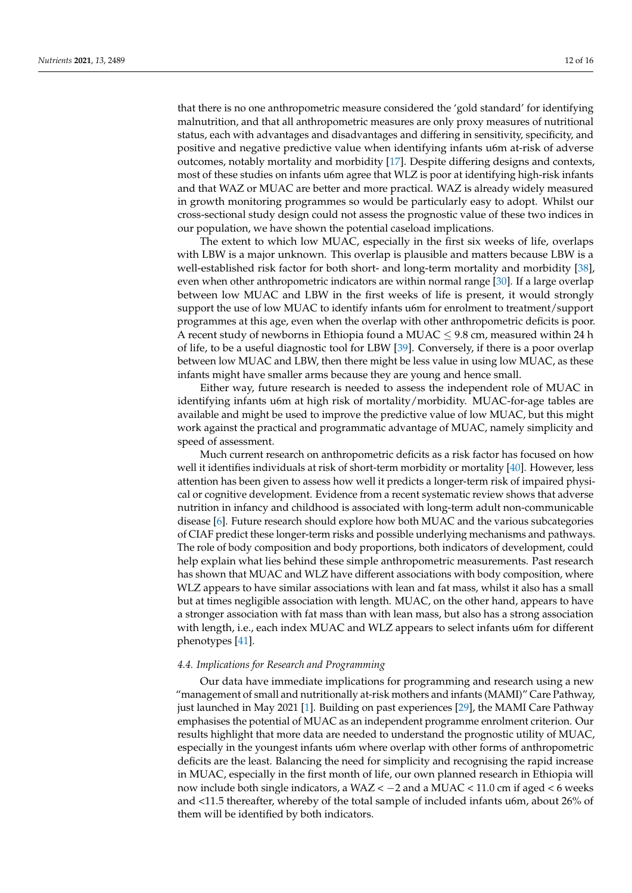that there is no one anthropometric measure considered the 'gold standard' for identifying malnutrition, and that all anthropometric measures are only proxy measures of nutritional status, each with advantages and disadvantages and differing in sensitivity, specificity, and positive and negative predictive value when identifying infants u6m at-risk of adverse outcomes, notably mortality and morbidity [\[17\]](#page-14-15). Despite differing designs and contexts, most of these studies on infants u6m agree that WLZ is poor at identifying high-risk infants and that WAZ or MUAC are better and more practical. WAZ is already widely measured in growth monitoring programmes so would be particularly easy to adopt. Whilst our cross-sectional study design could not assess the prognostic value of these two indices in our population, we have shown the potential caseload implications.

The extent to which low MUAC, especially in the first six weeks of life, overlaps with LBW is a major unknown. This overlap is plausible and matters because LBW is a well-established risk factor for both short- and long-term mortality and morbidity [\[38\]](#page-15-5), even when other anthropometric indicators are within normal range [\[30\]](#page-15-6). If a large overlap between low MUAC and LBW in the first weeks of life is present, it would strongly support the use of low MUAC to identify infants u6m for enrolment to treatment/support programmes at this age, even when the overlap with other anthropometric deficits is poor. A recent study of newborns in Ethiopia found a MUAC  $\leq$  9.8 cm, measured within 24 h of life, to be a useful diagnostic tool for LBW [\[39\]](#page-15-7). Conversely, if there is a poor overlap between low MUAC and LBW, then there might be less value in using low MUAC, as these infants might have smaller arms because they are young and hence small.

Either way, future research is needed to assess the independent role of MUAC in identifying infants u6m at high risk of mortality/morbidity. MUAC-for-age tables are available and might be used to improve the predictive value of low MUAC, but this might work against the practical and programmatic advantage of MUAC, namely simplicity and speed of assessment.

Much current research on anthropometric deficits as a risk factor has focused on how well it identifies individuals at risk of short-term morbidity or mortality [\[40\]](#page-15-8). However, less attention has been given to assess how well it predicts a longer-term risk of impaired physical or cognitive development. Evidence from a recent systematic review shows that adverse nutrition in infancy and childhood is associated with long-term adult non-communicable disease [\[6\]](#page-14-5). Future research should explore how both MUAC and the various subcategories of CIAF predict these longer-term risks and possible underlying mechanisms and pathways. The role of body composition and body proportions, both indicators of development, could help explain what lies behind these simple anthropometric measurements. Past research has shown that MUAC and WLZ have different associations with body composition, where WLZ appears to have similar associations with lean and fat mass, whilst it also has a small but at times negligible association with length. MUAC, on the other hand, appears to have a stronger association with fat mass than with lean mass, but also has a strong association with length, i.e., each index MUAC and WLZ appears to select infants u6m for different phenotypes [\[41\]](#page-15-9).

### *4.4. Implications for Research and Programming*

Our data have immediate implications for programming and research using a new "management of small and nutritionally at-risk mothers and infants (MAMI)" Care Pathway, just launched in May 2021 [\[1\]](#page-14-0). Building on past experiences [\[29\]](#page-15-3), the MAMI Care Pathway emphasises the potential of MUAC as an independent programme enrolment criterion. Our results highlight that more data are needed to understand the prognostic utility of MUAC, especially in the youngest infants u6m where overlap with other forms of anthropometric deficits are the least. Balancing the need for simplicity and recognising the rapid increase in MUAC, especially in the first month of life, our own planned research in Ethiopia will now include both single indicators, a WAZ <  $-2$  and a MUAC < 11.0 cm if aged < 6 weeks and <11.5 thereafter, whereby of the total sample of included infants u6m, about 26% of them will be identified by both indicators.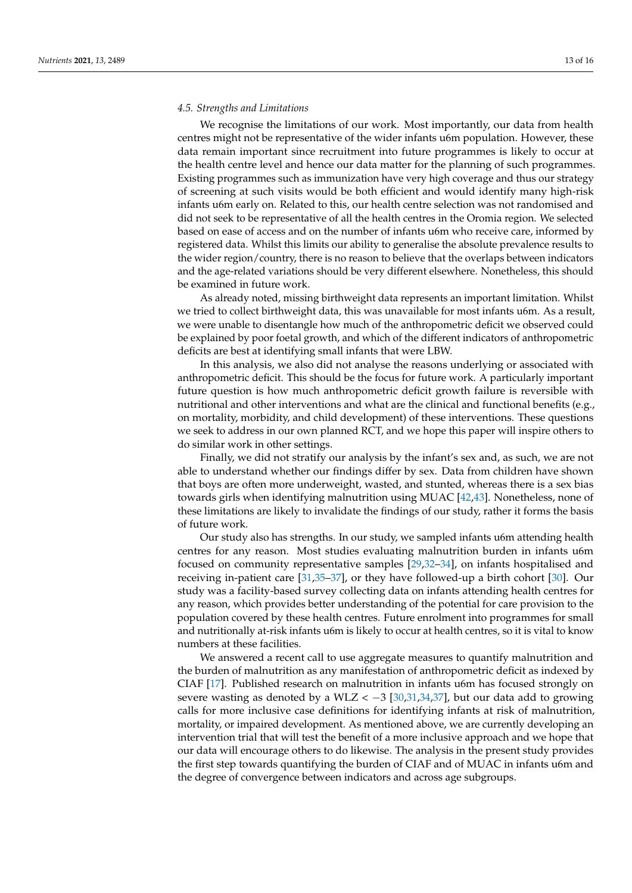### *4.5. Strengths and Limitations*

We recognise the limitations of our work. Most importantly, our data from health centres might not be representative of the wider infants u6m population. However, these data remain important since recruitment into future programmes is likely to occur at the health centre level and hence our data matter for the planning of such programmes. Existing programmes such as immunization have very high coverage and thus our strategy of screening at such visits would be both efficient and would identify many high-risk infants u6m early on. Related to this, our health centre selection was not randomised and did not seek to be representative of all the health centres in the Oromia region. We selected based on ease of access and on the number of infants u6m who receive care, informed by registered data. Whilst this limits our ability to generalise the absolute prevalence results to the wider region/country, there is no reason to believe that the overlaps between indicators and the age-related variations should be very different elsewhere. Nonetheless, this should be examined in future work.

As already noted, missing birthweight data represents an important limitation. Whilst we tried to collect birthweight data, this was unavailable for most infants u6m. As a result, we were unable to disentangle how much of the anthropometric deficit we observed could be explained by poor foetal growth, and which of the different indicators of anthropometric deficits are best at identifying small infants that were LBW.

In this analysis, we also did not analyse the reasons underlying or associated with anthropometric deficit. This should be the focus for future work. A particularly important future question is how much anthropometric deficit growth failure is reversible with nutritional and other interventions and what are the clinical and functional benefits (e.g., on mortality, morbidity, and child development) of these interventions. These questions we seek to address in our own planned RCT, and we hope this paper will inspire others to do similar work in other settings.

Finally, we did not stratify our analysis by the infant's sex and, as such, we are not able to understand whether our findings differ by sex. Data from children have shown that boys are often more underweight, wasted, and stunted, whereas there is a sex bias towards girls when identifying malnutrition using MUAC [\[42](#page-15-10)[,43\]](#page-15-11). Nonetheless, none of these limitations are likely to invalidate the findings of our study, rather it forms the basis of future work.

Our study also has strengths. In our study, we sampled infants u6m attending health centres for any reason. Most studies evaluating malnutrition burden in infants u6m focused on community representative samples [\[29](#page-15-3)[,32–](#page-15-12)[34\]](#page-15-13), on infants hospitalised and receiving in-patient care [\[31,](#page-15-14)[35](#page-15-15)[–37\]](#page-15-4), or they have followed-up a birth cohort [\[30\]](#page-15-6). Our study was a facility-based survey collecting data on infants attending health centres for any reason, which provides better understanding of the potential for care provision to the population covered by these health centres. Future enrolment into programmes for small and nutritionally at-risk infants u6m is likely to occur at health centres, so it is vital to know numbers at these facilities.

We answered a recent call to use aggregate measures to quantify malnutrition and the burden of malnutrition as any manifestation of anthropometric deficit as indexed by CIAF [\[17\]](#page-14-15). Published research on malnutrition in infants u6m has focused strongly on severe wasting as denoted by a WLZ <  $-3$  [\[30,](#page-15-6)[31,](#page-15-14)[34,](#page-15-13)[37\]](#page-15-4), but our data add to growing calls for more inclusive case definitions for identifying infants at risk of malnutrition, mortality, or impaired development. As mentioned above, we are currently developing an intervention trial that will test the benefit of a more inclusive approach and we hope that our data will encourage others to do likewise. The analysis in the present study provides the first step towards quantifying the burden of CIAF and of MUAC in infants u6m and the degree of convergence between indicators and across age subgroups.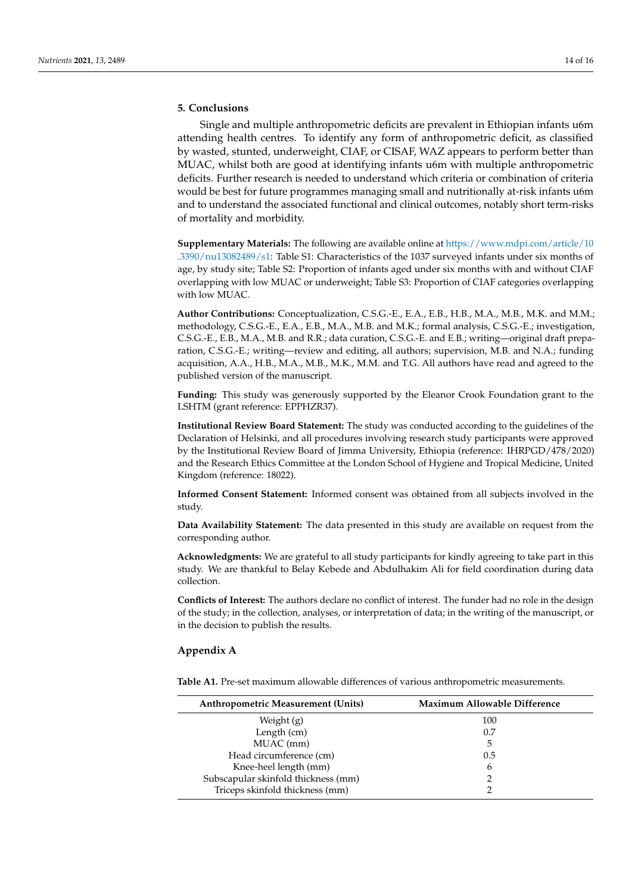# **5. Conclusions**

Single and multiple anthropometric deficits are prevalent in Ethiopian infants u6m attending health centres. To identify any form of anthropometric deficit, as classified by wasted, stunted, underweight, CIAF, or CISAF, WAZ appears to perform better than MUAC, whilst both are good at identifying infants u6m with multiple anthropometric deficits. Further research is needed to understand which criteria or combination of criteria would be best for future programmes managing small and nutritionally at-risk infants u6m and to understand the associated functional and clinical outcomes, notably short term-risks of mortality and morbidity.

**Supplementary Materials:** The following are available online at [https://www.mdpi.com/article/10](https://www.mdpi.com/article/10.3390/nu13082489/s1) [.3390/nu13082489/s1:](https://www.mdpi.com/article/10.3390/nu13082489/s1) Table S1: Characteristics of the 1037 surveyed infants under six months of age, by study site; Table S2: Proportion of infants aged under six months with and without CIAF overlapping with low MUAC or underweight; Table S3: Proportion of CIAF categories overlapping with low MUAC.

**Author Contributions:** Conceptualization, C.S.G.-E., E.A., E.B., H.B., M.A., M.B., M.K. and M.M.; methodology, C.S.G.-E., E.A., E.B., M.A., M.B. and M.K.; formal analysis, C.S.G.-E.; investigation, C.S.G.-E., E.B., M.A., M.B. and R.R.; data curation, C.S.G.-E. and E.B.; writing—original draft preparation, C.S.G.-E.; writing—review and editing, all authors; supervision, M.B. and N.A.; funding acquisition, A.A., H.B., M.A., M.B., M.K., M.M. and T.G. All authors have read and agreed to the published version of the manuscript.

**Funding:** This study was generously supported by the Eleanor Crook Foundation grant to the LSHTM (grant reference: EPPHZR37).

**Institutional Review Board Statement:** The study was conducted according to the guidelines of the Declaration of Helsinki, and all procedures involving research study participants were approved by the Institutional Review Board of Jimma University, Ethiopia (reference: IHRPGD/478/2020) and the Research Ethics Committee at the London School of Hygiene and Tropical Medicine, United Kingdom (reference: 18022).

**Informed Consent Statement:** Informed consent was obtained from all subjects involved in the study.

**Data Availability Statement:** The data presented in this study are available on request from the corresponding author.

**Acknowledgments:** We are grateful to all study participants for kindly agreeing to take part in this study. We are thankful to Belay Kebede and Abdulhakim Ali for field coordination during data collection.

**Conflicts of Interest:** The authors declare no conflict of interest. The funder had no role in the design of the study; in the collection, analyses, or interpretation of data; in the writing of the manuscript, or in the decision to publish the results.

### <span id="page-13-0"></span>**Appendix A**

<span id="page-13-1"></span>**Table A1.** Pre-set maximum allowable differences of various anthropometric measurements.

| <b>Anthropometric Measurement (Units)</b> | <b>Maximum Allowable Difference</b> |
|-------------------------------------------|-------------------------------------|
| Weight (g)                                | 100                                 |
| Length (cm)                               | 0.7                                 |
| MUAC (mm)                                 | 5                                   |
| Head circumference (cm)                   | 0.5                                 |
| Knee-heel length (mm)                     | 6                                   |
| Subscapular skinfold thickness (mm)       |                                     |
| Triceps skinfold thickness (mm)           |                                     |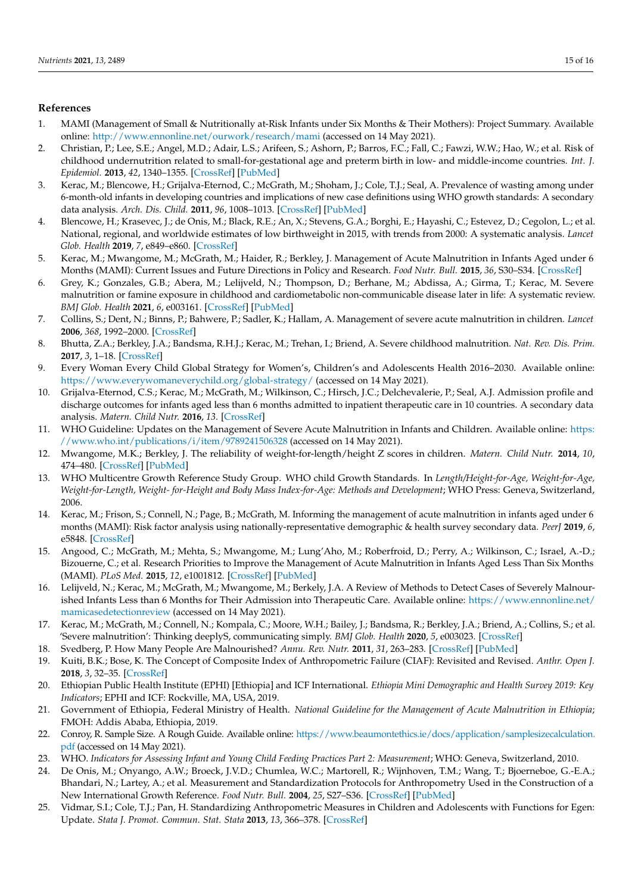# **References**

- <span id="page-14-0"></span>1. MAMI (Management of Small & Nutritionally at-Risk Infants under Six Months & Their Mothers): Project Summary. Available online: <http://www.ennonline.net/ourwork/research/mami> (accessed on 14 May 2021).
- <span id="page-14-1"></span>2. Christian, P.; Lee, S.E.; Angel, M.D.; Adair, L.S.; Arifeen, S.; Ashorn, P.; Barros, F.C.; Fall, C.; Fawzi, W.W.; Hao, W.; et al. Risk of childhood undernutrition related to small-for-gestational age and preterm birth in low- and middle-income countries. *Int. J. Epidemiol.* **2013**, *42*, 1340–1355. [\[CrossRef\]](http://doi.org/10.1093/ije/dyt109) [\[PubMed\]](http://www.ncbi.nlm.nih.gov/pubmed/23920141)
- <span id="page-14-2"></span>3. Kerac, M.; Blencowe, H.; Grijalva-Eternod, C.; McGrath, M.; Shoham, J.; Cole, T.J.; Seal, A. Prevalence of wasting among under 6-month-old infants in developing countries and implications of new case definitions using WHO growth standards: A secondary data analysis. *Arch. Dis. Child.* **2011**, *96*, 1008–1013. [\[CrossRef\]](http://doi.org/10.1136/adc.2010.191882) [\[PubMed\]](http://www.ncbi.nlm.nih.gov/pubmed/21288999)
- <span id="page-14-3"></span>4. Blencowe, H.; Krasevec, J.; de Onis, M.; Black, R.E.; An, X.; Stevens, G.A.; Borghi, E.; Hayashi, C.; Estevez, D.; Cegolon, L.; et al. National, regional, and worldwide estimates of low birthweight in 2015, with trends from 2000: A systematic analysis. *Lancet Glob. Health* **2019**, *7*, e849–e860. [\[CrossRef\]](http://doi.org/10.1016/S2214-109X(18)30565-5)
- <span id="page-14-4"></span>5. Kerac, M.; Mwangome, M.; McGrath, M.; Haider, R.; Berkley, J. Management of Acute Malnutrition in Infants Aged under 6 Months (MAMI): Current Issues and Future Directions in Policy and Research. *Food Nutr. Bull.* **2015**, *36*, S30–S34. [\[CrossRef\]](http://doi.org/10.1177/15648265150361S105)
- <span id="page-14-5"></span>6. Grey, K.; Gonzales, G.B.; Abera, M.; Lelijveld, N.; Thompson, D.; Berhane, M.; Abdissa, A.; Girma, T.; Kerac, M. Severe malnutrition or famine exposure in childhood and cardiometabolic non-communicable disease later in life: A systematic review. *BMJ Glob. Health* **2021**, *6*, e003161. [\[CrossRef\]](http://doi.org/10.1136/bmjgh-2020-003161) [\[PubMed\]](http://www.ncbi.nlm.nih.gov/pubmed/33692144)
- <span id="page-14-6"></span>7. Collins, S.; Dent, N.; Binns, P.; Bahwere, P.; Sadler, K.; Hallam, A. Management of severe acute malnutrition in children. *Lancet* **2006**, *368*, 1992–2000. [\[CrossRef\]](http://doi.org/10.1016/S0140-6736(06)69443-9)
- <span id="page-14-7"></span>8. Bhutta, Z.A.; Berkley, J.A.; Bandsma, R.H.J.; Kerac, M.; Trehan, I.; Briend, A. Severe childhood malnutrition. *Nat. Rev. Dis. Prim.* **2017**, *3*, 1–18. [\[CrossRef\]](http://doi.org/10.1038/nrdp.2017.67)
- <span id="page-14-8"></span>9. Every Woman Every Child Global Strategy for Women's, Children's and Adolescents Health 2016–2030. Available online: <https://www.everywomaneverychild.org/global-strategy/> (accessed on 14 May 2021).
- <span id="page-14-9"></span>10. Grijalva-Eternod, C.S.; Kerac, M.; McGrath, M.; Wilkinson, C.; Hirsch, J.C.; Delchevalerie, P.; Seal, A.J. Admission profile and discharge outcomes for infants aged less than 6 months admitted to inpatient therapeutic care in 10 countries. A secondary data analysis. *Matern. Child Nutr.* **2016**, *13*. [\[CrossRef\]](http://doi.org/10.1111/mcn.12345)
- <span id="page-14-10"></span>11. WHO Guideline: Updates on the Management of Severe Acute Malnutrition in Infants and Children. Available online: [https:](https://www.who.int/publications/i/item/9789241506328) [//www.who.int/publications/i/item/9789241506328](https://www.who.int/publications/i/item/9789241506328) (accessed on 14 May 2021).
- <span id="page-14-11"></span>12. Mwangome, M.K.; Berkley, J. The reliability of weight-for-length/height Z scores in children. *Matern. Child Nutr.* **2014**, *10*, 474–480. [\[CrossRef\]](http://doi.org/10.1111/mcn.12124) [\[PubMed\]](http://www.ncbi.nlm.nih.gov/pubmed/24785183)
- <span id="page-14-12"></span>13. WHO Multicentre Growth Reference Study Group. WHO child Growth Standards. In *Length/Height-for-Age, Weight-for-Age, Weight-for-Length, Weight- for-Height and Body Mass Index-for-Age: Methods and Development*; WHO Press: Geneva, Switzerland, 2006.
- <span id="page-14-13"></span>14. Kerac, M.; Frison, S.; Connell, N.; Page, B.; McGrath, M. Informing the management of acute malnutrition in infants aged under 6 months (MAMI): Risk factor analysis using nationally-representative demographic & health survey secondary data. *PeerJ* **2019**, *6*, e5848. [\[CrossRef\]](http://doi.org/10.7717/peerj.5848)
- 15. Angood, C.; McGrath, M.; Mehta, S.; Mwangome, M.; Lung'Aho, M.; Roberfroid, D.; Perry, A.; Wilkinson, C.; Israel, A.-D.; Bizouerne, C.; et al. Research Priorities to Improve the Management of Acute Malnutrition in Infants Aged Less Than Six Months (MAMI). *PLoS Med.* **2015**, *12*, e1001812. [\[CrossRef\]](http://doi.org/10.1371/journal.pmed.1001812) [\[PubMed\]](http://www.ncbi.nlm.nih.gov/pubmed/25898252)
- <span id="page-14-14"></span>16. Lelijveld, N.; Kerac, M.; McGrath, M.; Mwangome, M.; Berkely, J.A. A Review of Methods to Detect Cases of Severely Malnourished Infants Less than 6 Months for Their Admission into Therapeutic Care. Available online: [https://www.ennonline.net/](https://www.ennonline.net/mamicasedetectionreview) [mamicasedetectionreview](https://www.ennonline.net/mamicasedetectionreview) (accessed on 14 May 2021).
- <span id="page-14-15"></span>17. Kerac, M.; McGrath, M.; Connell, N.; Kompala, C.; Moore, W.H.; Bailey, J.; Bandsma, R.; Berkley, J.A.; Briend, A.; Collins, S.; et al. 'Severe malnutrition': Thinking deeplyS, communicating simply. *BMJ Glob. Health* **2020**, *5*, e003023. [\[CrossRef\]](http://doi.org/10.1136/bmjgh-2020-003023)
- <span id="page-14-16"></span>18. Svedberg, P. How Many People Are Malnourished? *Annu. Rev. Nutr.* **2011**, *31*, 263–283. [\[CrossRef\]](http://doi.org/10.1146/annurev-nutr-081810-160805) [\[PubMed\]](http://www.ncbi.nlm.nih.gov/pubmed/21756133)
- <span id="page-14-17"></span>19. Kuiti, B.K.; Bose, K. The Concept of Composite Index of Anthropometric Failure (CIAF): Revisited and Revised. *Anthr. Open J.* **2018**, *3*, 32–35. [\[CrossRef\]](http://doi.org/10.17140/ANTPOJ-3-118)
- <span id="page-14-18"></span>20. Ethiopian Public Health Institute (EPHI) [Ethiopia] and ICF International. *Ethiopia Mini Demographic and Health Survey 2019: Key Indicators*; EPHI and ICF: Rockville, MA, USA, 2019.
- <span id="page-14-19"></span>21. Government of Ethiopia, Federal Ministry of Health. *National Guideline for the Management of Acute Malnutrition in Ethiopia*; FMOH: Addis Ababa, Ethiopia, 2019.
- <span id="page-14-20"></span>22. Conroy, R. Sample Size. A Rough Guide. Available online: [https://www.beaumontethics.ie/docs/application/samplesizecalculation.](https://www.beaumontethics.ie/docs/application/samplesizecalculation.pdf) [pdf](https://www.beaumontethics.ie/docs/application/samplesizecalculation.pdf) (accessed on 14 May 2021).
- <span id="page-14-21"></span>23. WHO. Indicators for Assessing Infant and Young Child Feeding Practices Part 2: Measurement; WHO: Geneva, Switzerland, 2010.
- <span id="page-14-22"></span>24. De Onis, M.; Onyango, A.W.; Broeck, J.V.D.; Chumlea, W.C.; Martorell, R.; Wijnhoven, T.M.; Wang, T.; Bjoerneboe, G.-E.A.; Bhandari, N.; Lartey, A.; et al. Measurement and Standardization Protocols for Anthropometry Used in the Construction of a New International Growth Reference. *Food Nutr. Bull.* **2004**, *25*, S27–S36. [\[CrossRef\]](http://doi.org/10.1177/15648265040251S105) [\[PubMed\]](http://www.ncbi.nlm.nih.gov/pubmed/15069918)
- <span id="page-14-23"></span>25. Vidmar, S.I.; Cole, T.J.; Pan, H. Standardizing Anthropometric Measures in Children and Adolescents with Functions for Egen: Update. *Stata J. Promot. Commun. Stat. Stata* **2013**, *13*, 366–378. [\[CrossRef\]](http://doi.org/10.1177/1536867X1301300211)